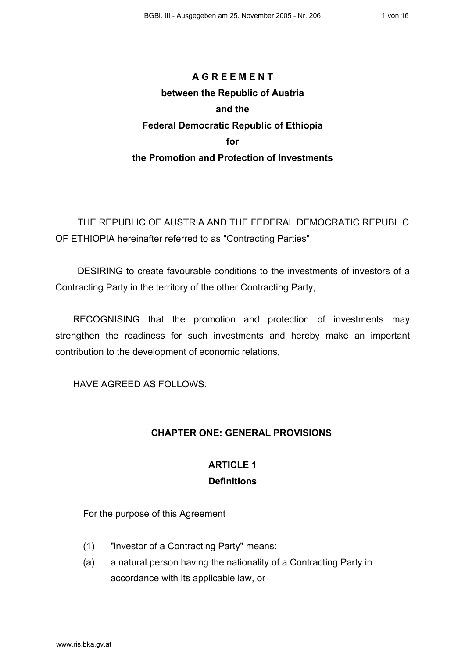# **A G R E E M E N T between the Republic of Austria and the Federal Democratic Republic of Ethiopia for the Promotion and Protection of Investments**

THE REPUBLIC OF AUSTRIA AND THE FEDERAL DEMOCRATIC REPUBLIC OF ETHIOPIA hereinafter referred to as "Contracting Parties",

DESIRING to create favourable conditions to the investments of investors of a Contracting Party in the territory of the other Contracting Party,

RECOGNISING that the promotion and protection of investments may strengthen the readiness for such investments and hereby make an important contribution to the development of economic relations,

HAVE AGREED AS FOLLOWS:

### **CHAPTER ONE: GENERAL PROVISIONS**

### **ARTICLE 1 Definitions**

For the purpose of this Agreement

- (1) "investor of a Contracting Party" means:
- (a) a natural person having the nationality of a Contracting Party in accordance with its applicable law, or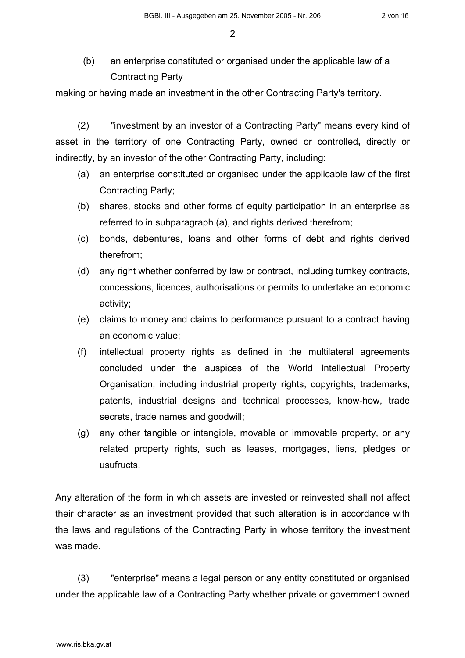(b) an enterprise constituted or organised under the applicable law of a Contracting Party

making or having made an investment in the other Contracting Party's territory.

(2) "investment by an investor of a Contracting Party" means every kind of asset in the territory of one Contracting Party, owned or controlled**,** directly or indirectly, by an investor of the other Contracting Party, including:

- (a) an enterprise constituted or organised under the applicable law of the first Contracting Party;
- (b) shares, stocks and other forms of equity participation in an enterprise as referred to in subparagraph (a), and rights derived therefrom;
- (c) bonds, debentures, loans and other forms of debt and rights derived therefrom;
- (d) any right whether conferred by law or contract, including turnkey contracts, concessions, licences, authorisations or permits to undertake an economic activity;
- (e) claims to money and claims to performance pursuant to a contract having an economic value;
- (f) intellectual property rights as defined in the multilateral agreements concluded under the auspices of the World Intellectual Property Organisation, including industrial property rights, copyrights, trademarks, patents, industrial designs and technical processes, know-how, trade secrets, trade names and goodwill;
- (g) any other tangible or intangible, movable or immovable property, or any related property rights, such as leases, mortgages, liens, pledges or usufructs.

Any alteration of the form in which assets are invested or reinvested shall not affect their character as an investment provided that such alteration is in accordance with the laws and regulations of the Contracting Party in whose territory the investment was made.

(3) "enterprise" means a legal person or any entity constituted or organised under the applicable law of a Contracting Party whether private or government owned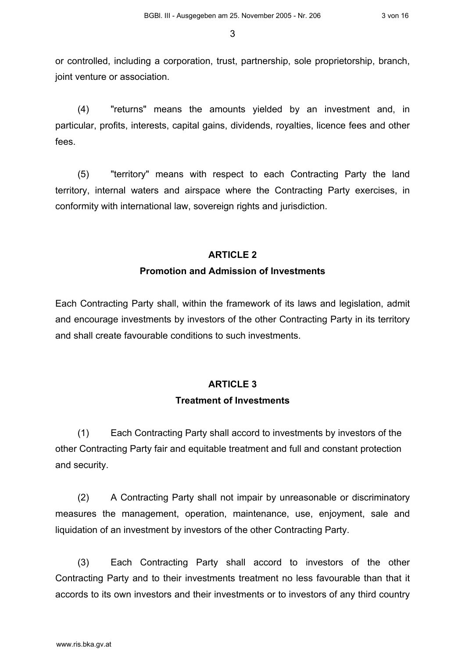or controlled, including a corporation, trust, partnership, sole proprietorship, branch, joint venture or association.

(4) "returns" means the amounts yielded by an investment and, in particular, profits, interests, capital gains, dividends, royalties, licence fees and other fees.

(5) "territory" means with respect to each Contracting Party the land territory, internal waters and airspace where the Contracting Party exercises, in conformity with international law, sovereign rights and jurisdiction.

#### **ARTICLE 2**

#### **Promotion and Admission of Investments**

Each Contracting Party shall, within the framework of its laws and legislation, admit and encourage investments by investors of the other Contracting Party in its territory and shall create favourable conditions to such investments.

### **ARTICLE 3**

#### **Treatment of Investments**

(1) Each Contracting Party shall accord to investments by investors of the other Contracting Party fair and equitable treatment and full and constant protection and security.

(2) A Contracting Party shall not impair by unreasonable or discriminatory measures the management, operation, maintenance, use, enjoyment, sale and liquidation of an investment by investors of the other Contracting Party.

(3) Each Contracting Party shall accord to investors of the other Contracting Party and to their investments treatment no less favourable than that it accords to its own investors and their investments or to investors of any third country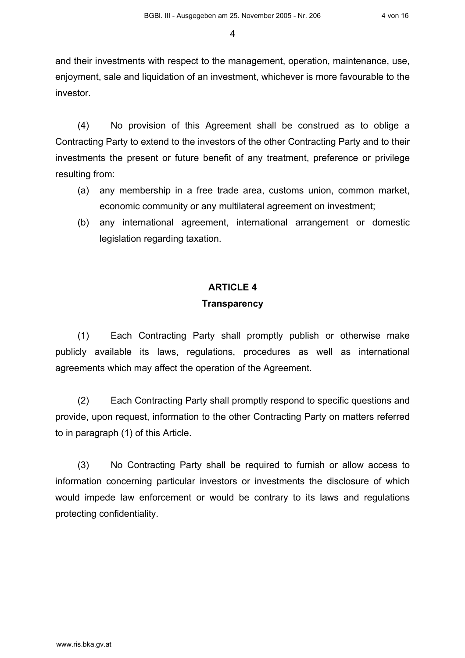and their investments with respect to the management, operation, maintenance, use, enjoyment, sale and liquidation of an investment, whichever is more favourable to the investor.

(4) No provision of this Agreement shall be construed as to oblige a Contracting Party to extend to the investors of the other Contracting Party and to their investments the present or future benefit of any treatment, preference or privilege resulting from:

- (a) any membership in a free trade area, customs union, common market, economic community or any multilateral agreement on investment;
- (b) any international agreement, international arrangement or domestic legislation regarding taxation.

### **ARTICLE 4**

#### **Transparency**

(1) Each Contracting Party shall promptly publish or otherwise make publicly available its laws, regulations, procedures as well as international agreements which may affect the operation of the Agreement.

(2) Each Contracting Party shall promptly respond to specific questions and provide, upon request, information to the other Contracting Party on matters referred to in paragraph (1) of this Article.

(3) No Contracting Party shall be required to furnish or allow access to information concerning particular investors or investments the disclosure of which would impede law enforcement or would be contrary to its laws and regulations protecting confidentiality.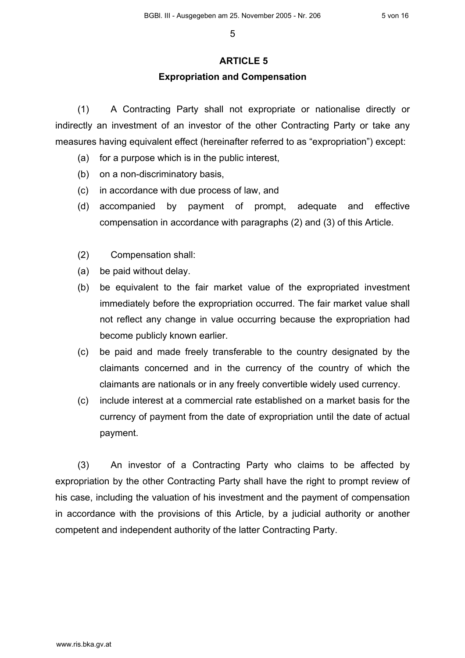### **ARTICLE 5**

### **Expropriation and Compensation**

(1) A Contracting Party shall not expropriate or nationalise directly or indirectly an investment of an investor of the other Contracting Party or take any measures having equivalent effect (hereinafter referred to as "expropriation") except:

- (a) for a purpose which is in the public interest,
- (b) on a non-discriminatory basis,
- (c) in accordance with due process of law, and
- (d) accompanied by payment of prompt, adequate and effective compensation in accordance with paragraphs (2) and (3) of this Article.
- (2) Compensation shall:
- (a) be paid without delay.
- (b) be equivalent to the fair market value of the expropriated investment immediately before the expropriation occurred. The fair market value shall not reflect any change in value occurring because the expropriation had become publicly known earlier.
- (c) be paid and made freely transferable to the country designated by the claimants concerned and in the currency of the country of which the claimants are nationals or in any freely convertible widely used currency.
- (c) include interest at a commercial rate established on a market basis for the currency of payment from the date of expropriation until the date of actual payment.

(3) An investor of a Contracting Party who claims to be affected by expropriation by the other Contracting Party shall have the right to prompt review of his case, including the valuation of his investment and the payment of compensation in accordance with the provisions of this Article, by a judicial authority or another competent and independent authority of the latter Contracting Party.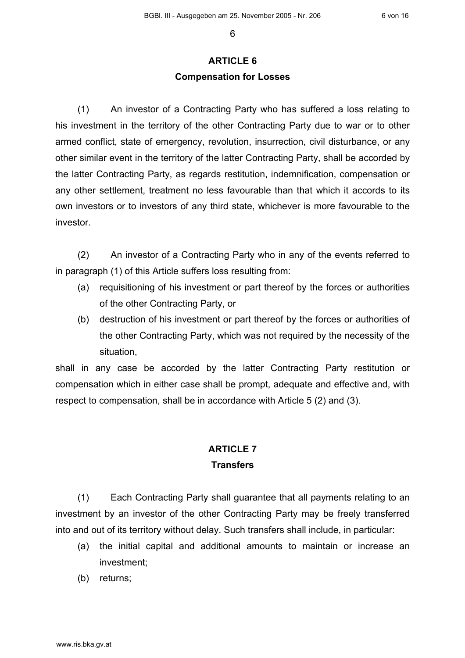## **ARTICLE 6 Compensation for Losses**

(1) An investor of a Contracting Party who has suffered a loss relating to his investment in the territory of the other Contracting Party due to war or to other armed conflict, state of emergency, revolution, insurrection, civil disturbance, or any other similar event in the territory of the latter Contracting Party, shall be accorded by the latter Contracting Party, as regards restitution, indemnification, compensation or any other settlement, treatment no less favourable than that which it accords to its own investors or to investors of any third state, whichever is more favourable to the investor.

(2) An investor of a Contracting Party who in any of the events referred to in paragraph (1) of this Article suffers loss resulting from:

- (a) requisitioning of his investment or part thereof by the forces or authorities of the other Contracting Party, or
- (b) destruction of his investment or part thereof by the forces or authorities of the other Contracting Party, which was not required by the necessity of the situation,

shall in any case be accorded by the latter Contracting Party restitution or compensation which in either case shall be prompt, adequate and effective and, with respect to compensation, shall be in accordance with Article 5 (2) and (3).

### **ARTICLE 7 Transfers**

(1) Each Contracting Party shall guarantee that all payments relating to an investment by an investor of the other Contracting Party may be freely transferred into and out of its territory without delay. Such transfers shall include, in particular:

- (a) the initial capital and additional amounts to maintain or increase an investment;
- (b) returns;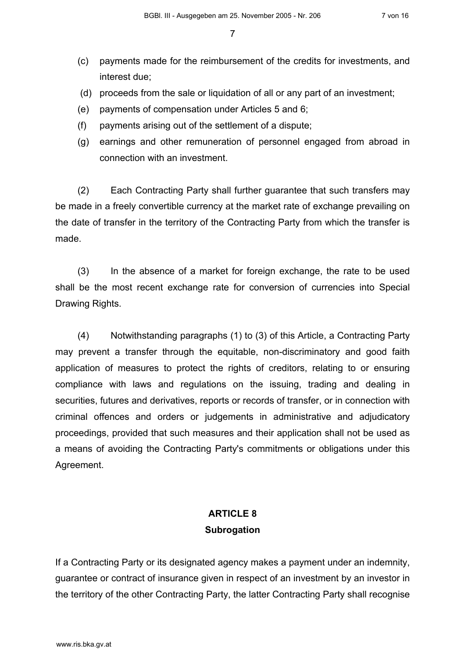- (c) payments made for the reimbursement of the credits for investments, and interest due;
- (d) proceeds from the sale or liquidation of all or any part of an investment;
- (e) payments of compensation under Articles 5 and 6;
- (f) payments arising out of the settlement of a dispute;
- (g) earnings and other remuneration of personnel engaged from abroad in connection with an investment.

(2) Each Contracting Party shall further guarantee that such transfers may be made in a freely convertible currency at the market rate of exchange prevailing on the date of transfer in the territory of the Contracting Party from which the transfer is made.

(3) In the absence of a market for foreign exchange, the rate to be used shall be the most recent exchange rate for conversion of currencies into Special Drawing Rights.

(4) Notwithstanding paragraphs (1) to (3) of this Article, a Contracting Party may prevent a transfer through the equitable, non-discriminatory and good faith application of measures to protect the rights of creditors, relating to or ensuring compliance with laws and regulations on the issuing, trading and dealing in securities, futures and derivatives, reports or records of transfer, or in connection with criminal offences and orders or judgements in administrative and adjudicatory proceedings, provided that such measures and their application shall not be used as a means of avoiding the Contracting Party's commitments or obligations under this Agreement.

### **ARTICLE 8 Subrogation**

If a Contracting Party or its designated agency makes a payment under an indemnity, guarantee or contract of insurance given in respect of an investment by an investor in the territory of the other Contracting Party, the latter Contracting Party shall recognise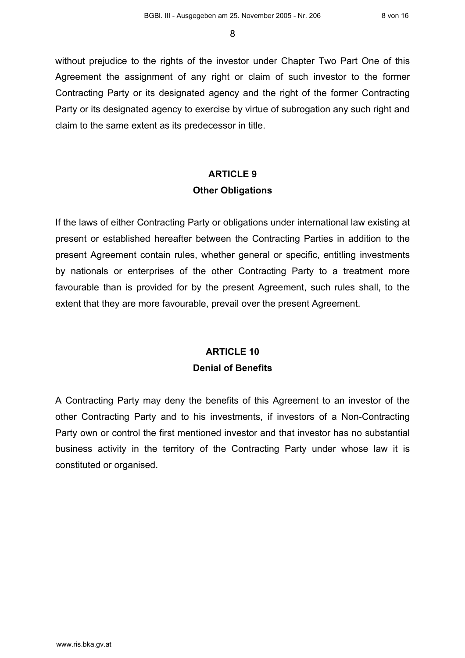without prejudice to the rights of the investor under Chapter Two Part One of this Agreement the assignment of any right or claim of such investor to the former Contracting Party or its designated agency and the right of the former Contracting Party or its designated agency to exercise by virtue of subrogation any such right and claim to the same extent as its predecessor in title.

# **ARTICLE 9 Other Obligations**

If the laws of either Contracting Party or obligations under international law existing at present or established hereafter between the Contracting Parties in addition to the present Agreement contain rules, whether general or specific, entitling investments by nationals or enterprises of the other Contracting Party to a treatment more favourable than is provided for by the present Agreement, such rules shall, to the extent that they are more favourable, prevail over the present Agreement.

# **ARTICLE 10 Denial of Benefits**

A Contracting Party may deny the benefits of this Agreement to an investor of the other Contracting Party and to his investments, if investors of a Non-Contracting Party own or control the first mentioned investor and that investor has no substantial business activity in the territory of the Contracting Party under whose law it is constituted or organised.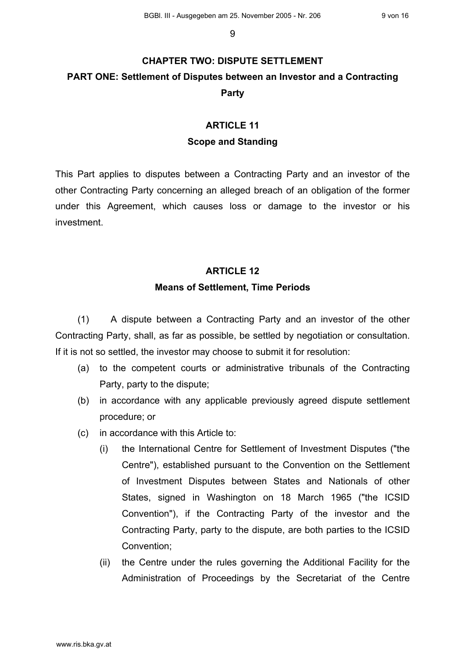# **CHAPTER TWO: DISPUTE SETTLEMENT PART ONE: Settlement of Disputes between an Investor and a Contracting Party**

## **ARTICLE 11 Scope and Standing**

This Part applies to disputes between a Contracting Party and an investor of the other Contracting Party concerning an alleged breach of an obligation of the former under this Agreement, which causes loss or damage to the investor or his investment.

#### **ARTICLE 12**

#### **Means of Settlement, Time Periods**

(1) A dispute between a Contracting Party and an investor of the other Contracting Party, shall, as far as possible, be settled by negotiation or consultation. If it is not so settled, the investor may choose to submit it for resolution:

- (a) to the competent courts or administrative tribunals of the Contracting Party, party to the dispute;
- (b) in accordance with any applicable previously agreed dispute settlement procedure; or
- (c) in accordance with this Article to:
	- (i) the International Centre for Settlement of Investment Disputes ("the Centre"), established pursuant to the Convention on the Settlement of Investment Disputes between States and Nationals of other States, signed in Washington on 18 March 1965 ("the ICSID Convention"), if the Contracting Party of the investor and the Contracting Party, party to the dispute, are both parties to the ICSID Convention;
	- (ii) the Centre under the rules governing the Additional Facility for the Administration of Proceedings by the Secretariat of the Centre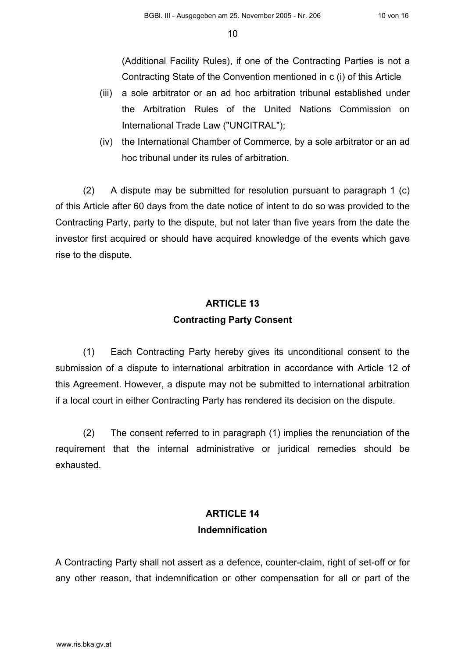(Additional Facility Rules), if one of the Contracting Parties is not a Contracting State of the Convention mentioned in c (i) of this Article

- (iii) a sole arbitrator or an ad hoc arbitration tribunal established under the Arbitration Rules of the United Nations Commission on International Trade Law ("UNCITRAL");
- (iv) the International Chamber of Commerce, by a sole arbitrator or an ad hoc tribunal under its rules of arbitration.

(2) A dispute may be submitted for resolution pursuant to paragraph 1 (c) of this Article after 60 days from the date notice of intent to do so was provided to the Contracting Party, party to the dispute, but not later than five years from the date the investor first acquired or should have acquired knowledge of the events which gave rise to the dispute.

# **ARTICLE 13 Contracting Party Consent**

(1) Each Contracting Party hereby gives its unconditional consent to the submission of a dispute to international arbitration in accordance with Article 12 of this Agreement. However, a dispute may not be submitted to international arbitration if a local court in either Contracting Party has rendered its decision on the dispute.

(2) The consent referred to in paragraph (1) implies the renunciation of the requirement that the internal administrative or juridical remedies should be exhausted.

### **ARTICLE 14 Indemnification**

A Contracting Party shall not assert as a defence, counter-claim, right of set-off or for any other reason, that indemnification or other compensation for all or part of the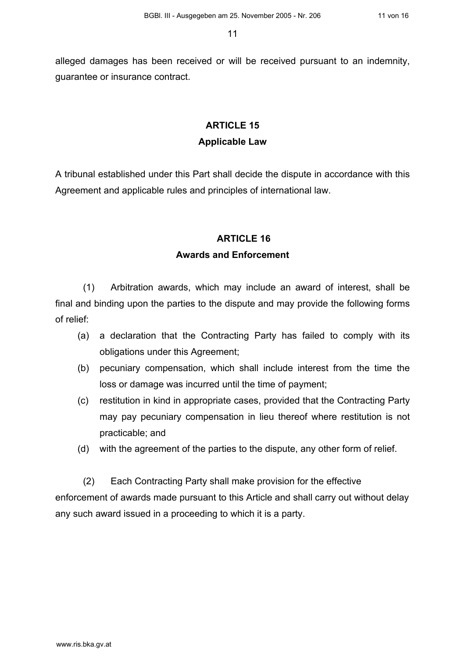alleged damages has been received or will be received pursuant to an indemnity, guarantee or insurance contract.

### **ARTICLE 15 Applicable Law**

A tribunal established under this Part shall decide the dispute in accordance with this Agreement and applicable rules and principles of international law.

#### **ARTICLE 16**

#### **Awards and Enforcement**

(1) Arbitration awards, which may include an award of interest, shall be final and binding upon the parties to the dispute and may provide the following forms of relief:

- (a) a declaration that the Contracting Party has failed to comply with its obligations under this Agreement;
- (b) pecuniary compensation, which shall include interest from the time the loss or damage was incurred until the time of payment;
- (c) restitution in kind in appropriate cases, provided that the Contracting Party may pay pecuniary compensation in lieu thereof where restitution is not practicable; and
- (d) with the agreement of the parties to the dispute, any other form of relief.

(2) Each Contracting Party shall make provision for the effective enforcement of awards made pursuant to this Article and shall carry out without delay any such award issued in a proceeding to which it is a party.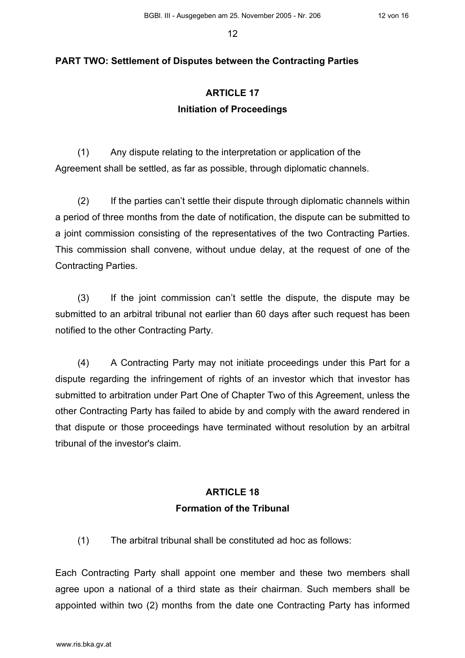#### **PART TWO: Settlement of Disputes between the Contracting Parties**

### **ARTICLE 17 Initiation of Proceedings**

(1) Any dispute relating to the interpretation or application of the Agreement shall be settled, as far as possible, through diplomatic channels.

(2) If the parties can't settle their dispute through diplomatic channels within a period of three months from the date of notification, the dispute can be submitted to a joint commission consisting of the representatives of the two Contracting Parties. This commission shall convene, without undue delay, at the request of one of the Contracting Parties.

(3) If the joint commission can't settle the dispute, the dispute may be submitted to an arbitral tribunal not earlier than 60 days after such request has been notified to the other Contracting Party.

(4) A Contracting Party may not initiate proceedings under this Part for a dispute regarding the infringement of rights of an investor which that investor has submitted to arbitration under Part One of Chapter Two of this Agreement, unless the other Contracting Party has failed to abide by and comply with the award rendered in that dispute or those proceedings have terminated without resolution by an arbitral tribunal of the investor's claim.

### **ARTICLE 18 Formation of the Tribunal**

(1) The arbitral tribunal shall be constituted ad hoc as follows:

Each Contracting Party shall appoint one member and these two members shall agree upon a national of a third state as their chairman. Such members shall be appointed within two (2) months from the date one Contracting Party has informed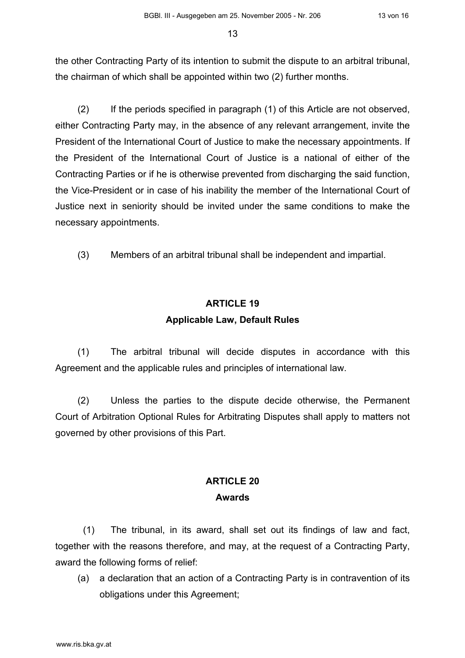the other Contracting Party of its intention to submit the dispute to an arbitral tribunal, the chairman of which shall be appointed within two (2) further months.

(2) If the periods specified in paragraph (1) of this Article are not observed, either Contracting Party may, in the absence of any relevant arrangement, invite the President of the International Court of Justice to make the necessary appointments. If the President of the International Court of Justice is a national of either of the Contracting Parties or if he is otherwise prevented from discharging the said function, the Vice-President or in case of his inability the member of the International Court of Justice next in seniority should be invited under the same conditions to make the necessary appointments.

(3) Members of an arbitral tribunal shall be independent and impartial.

## **ARTICLE 19 Applicable Law, Default Rules**

(1) The arbitral tribunal will decide disputes in accordance with this Agreement and the applicable rules and principles of international law.

(2) Unless the parties to the dispute decide otherwise, the Permanent Court of Arbitration Optional Rules for Arbitrating Disputes shall apply to matters not governed by other provisions of this Part.

### **ARTICLE 20 Awards**

(1) The tribunal, in its award, shall set out its findings of law and fact, together with the reasons therefore, and may, at the request of a Contracting Party, award the following forms of relief:

(a) a declaration that an action of a Contracting Party is in contravention of its obligations under this Agreement;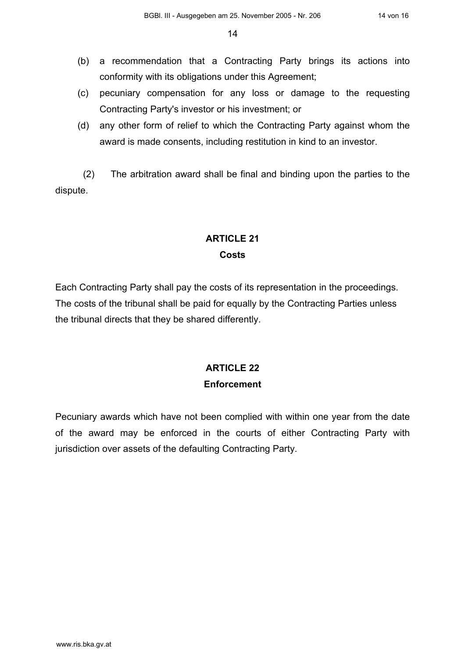- (b) a recommendation that a Contracting Party brings its actions into conformity with its obligations under this Agreement;
- (c) pecuniary compensation for any loss or damage to the requesting Contracting Party's investor or his investment; or
- (d) any other form of relief to which the Contracting Party against whom the award is made consents, including restitution in kind to an investor.

(2) The arbitration award shall be final and binding upon the parties to the dispute.

## **ARTICLE 21 Costs**

Each Contracting Party shall pay the costs of its representation in the proceedings. The costs of the tribunal shall be paid for equally by the Contracting Parties unless the tribunal directs that they be shared differently.

# **ARTICLE 22 Enforcement**

Pecuniary awards which have not been complied with within one year from the date of the award may be enforced in the courts of either Contracting Party with jurisdiction over assets of the defaulting Contracting Party.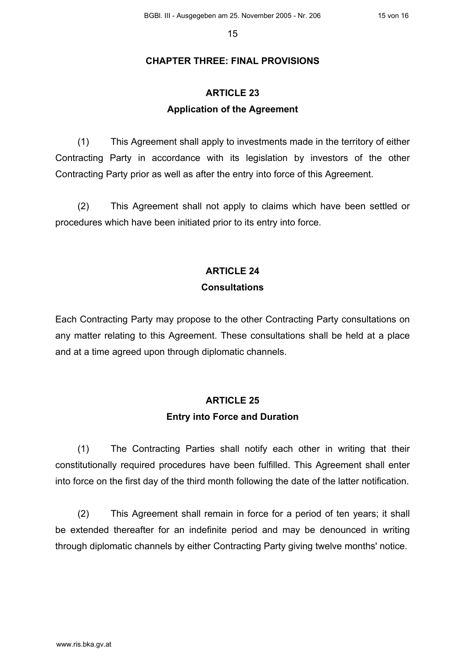#### **CHAPTER THREE: FINAL PROVISIONS**

### **ARTICLE 23 Application of the Agreement**

(1) This Agreement shall apply to investments made in the territory of either Contracting Party in accordance with its legislation by investors of the other Contracting Party prior as well as after the entry into force of this Agreement.

(2) This Agreement shall not apply to claims which have been settled or procedures which have been initiated prior to its entry into force.

### **ARTICLE 24**

#### **Consultations**

Each Contracting Party may propose to the other Contracting Party consultations on any matter relating to this Agreement. These consultations shall be held at a place and at a time agreed upon through diplomatic channels.

### **ARTICLE 25 Entry into Force and Duration**

(1) The Contracting Parties shall notify each other in writing that their constitutionally required procedures have been fulfilled. This Agreement shall enter into force on the first day of the third month following the date of the latter notification.

(2) This Agreement shall remain in force for a period of ten years; it shall be extended thereafter for an indefinite period and may be denounced in writing through diplomatic channels by either Contracting Party giving twelve months' notice.